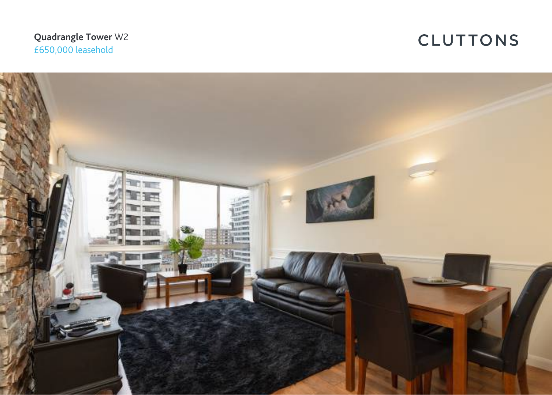£650,000 leasehold **Quadrangle Tower** W2

# **CLUTTONS**

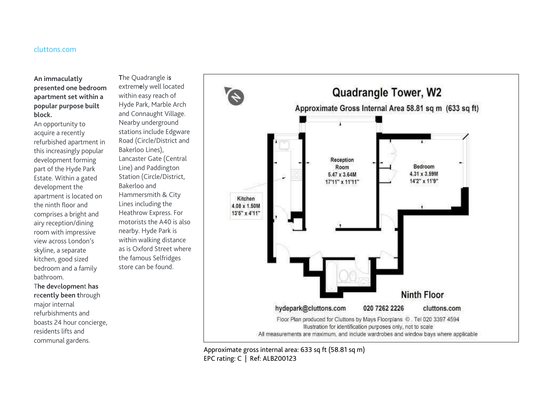### cluttons.com

## **An immaculatly presented one bedroom apartment set within a popular purpose built block.**

An opportunity to acquire a recently refurbished apartment in this increasingly popular development forming part of the Hyde Park Estate. Within a gated development the apartment is located on the ninth floor and comprises a bright and airy reception/dining room with impressive view across London's skyline, a separate kitchen, good sized bedroom and a family bathroom.

T**he dev**e**lopmen**t **has r**e**cently been t**hrough major internal refurbishments and boasts 24 hour concierge, residents lifts and communal gardens.

**T**he Quadrangle i**s** extrem**e**ly well located within easy reach of Hyde Park, Marble Arch and Connaught Village. Nearby underground stations include Edgware Road (Circle/District and Bakerloo Lines), Lancaster Gate (Central Line) and Paddington Station (Circle/District, Bakerloo and Hammersmith & City Lines including the Heathrow Express. For motorists the A40 is also nearby. Hyde Park is within walking distance as is Oxford Street where the famous Selfridges store can be found.



Approximate gross internal area: 633 sq ft (58.81 sq m) EPC rating: C | Ref: ALB200123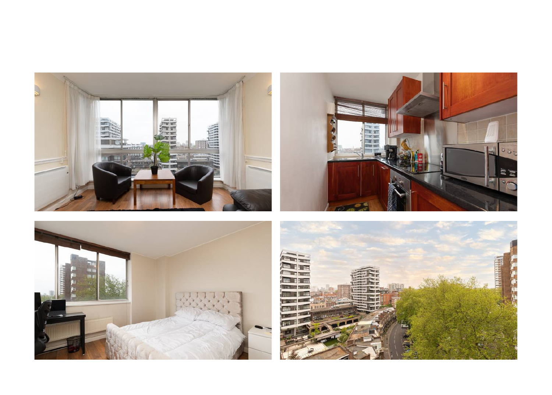